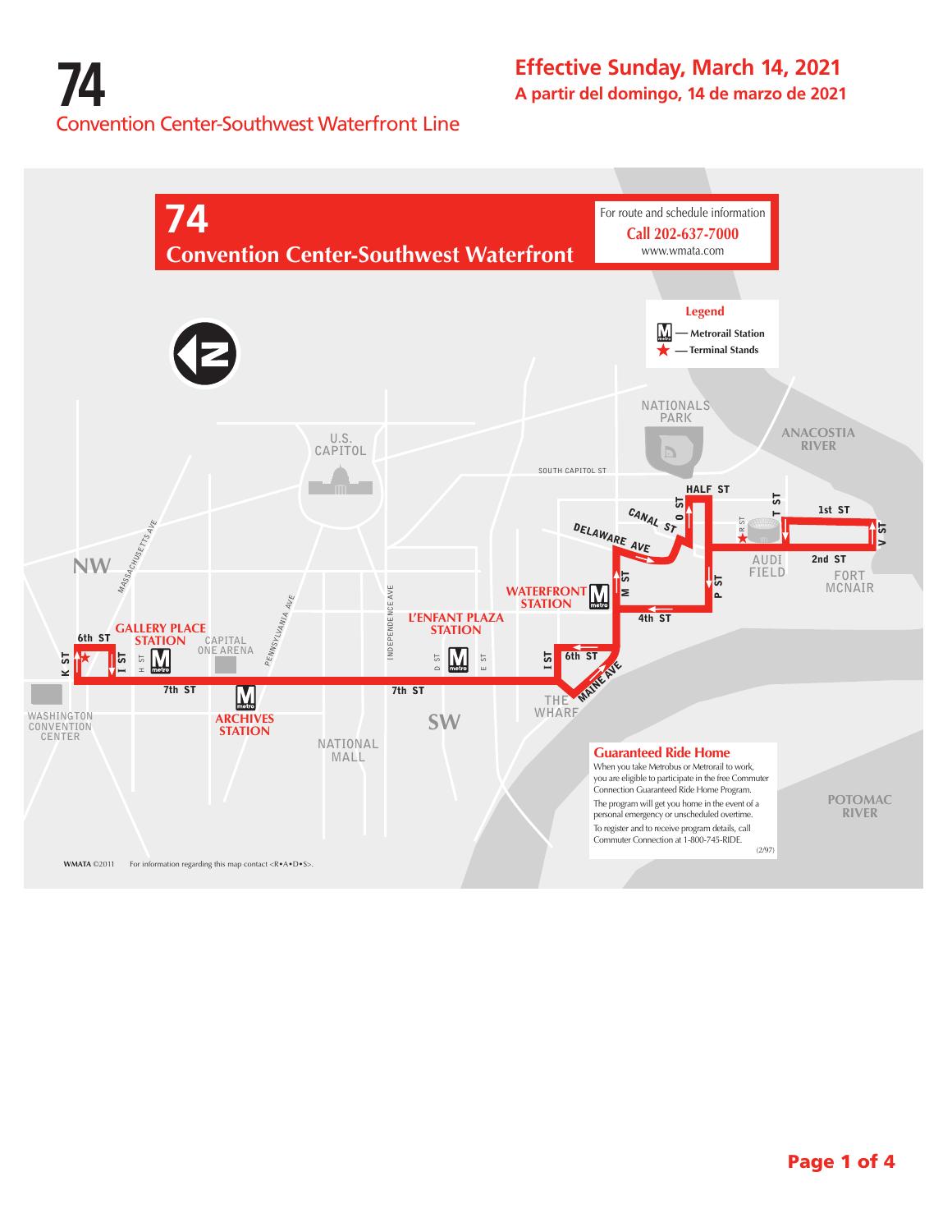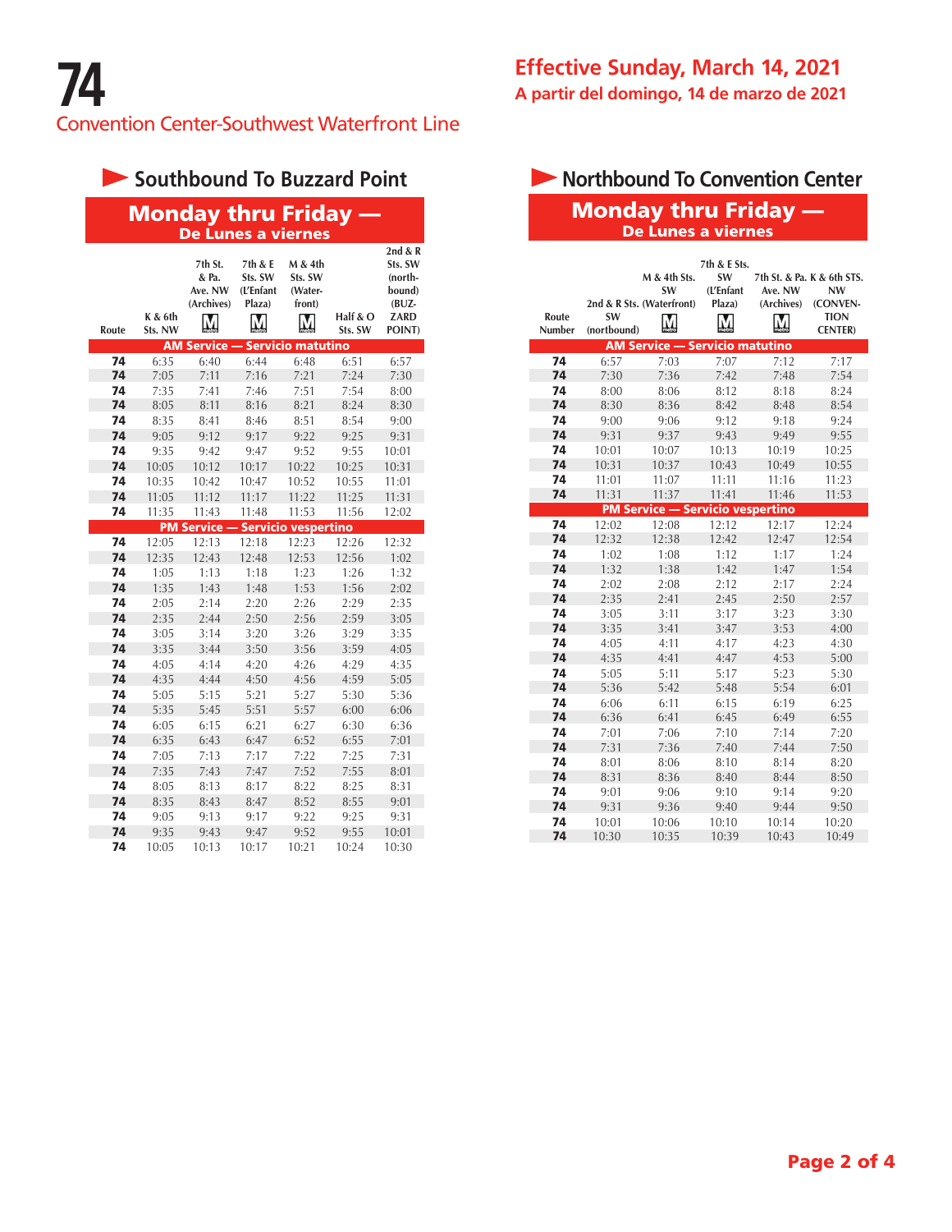# **Southbound To Buzzard Point**

| <b>Monday thru Friday —</b> |
|-----------------------------|
| De Lunes a viernes          |

| Route | K & 6th<br>Sts. NW | 7th St.<br>& Pa.<br>Ave. NW<br>(Archives) | 7th & E<br>Sts. SW<br>(L'Enfant<br>Plaza)<br>$\mathbf M$ | M & 4th<br>Sts. SW<br>(Water-<br>front) | Half $&$ O<br>Sts. SW | 2nd & R<br>Sts. SW<br>(north-<br>bound)<br>$(BUZ -$<br>ZARD<br>POINT) |
|-------|--------------------|-------------------------------------------|----------------------------------------------------------|-----------------------------------------|-----------------------|-----------------------------------------------------------------------|
|       |                    | <b>AM Service -</b>                       |                                                          | <b>Servicio matutino</b>                |                       |                                                                       |
| 74    | 6:35               | 6:40                                      | 6:44                                                     | 6:48                                    | 6:51                  | 6:57                                                                  |
| 74    | 7:05               | 7:11                                      | 7:16                                                     | 7:21                                    | 7:24                  | 7:30                                                                  |
| 74    | 7:35               | 7:41                                      | 7:46                                                     | 7:51                                    | 7:54                  | 8:00                                                                  |
| 74    | 8:05               | 8:11                                      | 8:16                                                     | 8:21                                    | 8:24                  | 8:30                                                                  |
| 74    | 8:35               | 8:41                                      | 8:46                                                     | 8:51                                    | 8:54                  | 9:00                                                                  |
| 74    | 9:05               | 9:12                                      | 9:17                                                     | 9:22                                    | 9:25                  | 9:31                                                                  |
| 74    | 9:35               | 9:42                                      | 9:47                                                     | 9:52                                    | 9:55                  | 10:01                                                                 |
| 74    | 10:05              | 10:12                                     | 10:17                                                    | 10:22                                   | 10:25                 | 10:31                                                                 |
| 74    | 10:35              | 10:42                                     | 10:47                                                    | 10:52                                   | 10:55                 | 11:01                                                                 |
| 74    | 11:05              | 11:12                                     | 11:17                                                    | 11:22                                   | 11:25                 | 11:31                                                                 |
| 74    | 11:35              | 11:43                                     | 11:48                                                    | 11:53                                   | 11:56                 | 12:02                                                                 |
|       |                    | <b>PM Service</b>                         |                                                          | <b>Servicio vespertino</b>              |                       |                                                                       |
| 74    | 12:05              | 12:13                                     | 12:18                                                    | 12:23                                   | 12:26                 | 12:32                                                                 |
| 74    | 12:35              | 12:43                                     | 12:48                                                    | 12:53                                   | 12:56                 | 1:02                                                                  |
| 74    | 1:05               | 1:13                                      | 1:18                                                     | 1:23                                    | 1:26                  | 1:32                                                                  |
| 74    | 1:35               | 1:43                                      | 1:48                                                     | 1:53                                    | 1:56                  | 2:02                                                                  |
| 74    | 2:05               | 2:14                                      | 2:20                                                     | 2:26                                    | 2:29                  | 2:35                                                                  |
| 74    | 2:35               | 2:44                                      | 2:50                                                     | 2:56                                    | 2:59                  | 3:05                                                                  |
| 74    | 3:05               | 3:14                                      | 3:20                                                     | 3:26                                    | 3:29                  | 3:35                                                                  |
| 74    | 3:35               | 3:44                                      | 3:50                                                     | 3:56                                    | 3:59                  | 4:05                                                                  |
| 74    | 4:05               | 4:14                                      | 4:20                                                     | 4:26                                    | 4:29                  | 4:35                                                                  |
| 74    | 4:35               | 4:44                                      | 4:50                                                     | 4:56                                    | 4:59                  | 5:05                                                                  |
| 74    | 5:05               | 5:15                                      | 5:21                                                     | 5:27                                    | 5:30                  | 5:36                                                                  |
| 74    | 5:35               | 5:45                                      | 5:51                                                     | 5:57                                    | 6:00                  | 6:06                                                                  |
| 74    | 6:05               | 6:15                                      | 6:21                                                     | 6:27                                    | 6:30                  | 6:36                                                                  |
| 74    | 6:35               | 6:43                                      | 6:47                                                     | 6:52                                    | 6:55                  | 7:01                                                                  |
| 74    | 7:05               | 7:13                                      | 7:17                                                     | 7:22                                    | 7:25                  | 7:31                                                                  |
| 74    | 7:35               | 7:43                                      | 7:47                                                     | 7:52                                    | 7:55                  | 8:01                                                                  |
| 74    | 8:05               | 8:13                                      | 8:17                                                     | 8:22                                    | 8:25                  | 8:31                                                                  |
| 74    | 8:35               | 8:43                                      | 8:47                                                     | 8:52                                    | 8:55                  | 9:01                                                                  |
| 74    | 9:05               | 9:13                                      | 9:17                                                     | 9:22                                    | 9:25                  | 9:31                                                                  |
| 74    | 9:35               | 9:43                                      | 9:47                                                     | 9:52                                    | 9:55                  | 10:01                                                                 |
| 74    | 10:05              | 10:13                                     | 10:17                                                    | 10:21                                   | 10:24                 | 10:30                                                                 |

# Monday thru Friday — **I** Northbound To Convention Center

### De Lunes a viernes

| Route<br>Number | SW<br>(nortbound) | M & 4th Sts.<br><b>SW</b><br>2nd & R Sts. (Waterfront) | 7th & E Sts.<br><b>SW</b><br>(L'Enfant<br>Plaza) | Ave. NW<br>(Archives) | 7th St. & Pa. K & 6th STS.<br>NW<br>(CONVEN-<br><b>TION</b><br><b>CENTER</b> ) |
|-----------------|-------------------|--------------------------------------------------------|--------------------------------------------------|-----------------------|--------------------------------------------------------------------------------|
|                 |                   | <b>AM Service - Servicio matutino</b>                  |                                                  |                       |                                                                                |
| 74              | 6:57              | 7:03                                                   | 7:07                                             | 7:12                  | 7:17                                                                           |
| 74              | 7:30              | 7:36                                                   | 7:42                                             | 7:48                  | 7:54                                                                           |
| 74              | 8:00              | 8:06                                                   | 8:12                                             | 8:18                  | 8:24                                                                           |
| 74              | 8:30              | 8:36                                                   | 8:42                                             | 8:48                  | 8:54                                                                           |
| 74              | 9:00              | 9:06                                                   | 9:12                                             | 9:18                  | 9:24                                                                           |
| 74              | 9:31              | 9:37                                                   | 9:43                                             | 9:49                  | 9:55                                                                           |
| 74              | 10:01             | 10:07                                                  | 10:13                                            | 10:19                 | 10:25                                                                          |
| 74              | 10:31             | 10:37                                                  | 10:43                                            | 10:49                 | 10:55                                                                          |
| 74              | 11:01             | 11:07                                                  | 11:11                                            | 11:16                 | 11:23                                                                          |
| 74              | 11:31             | 11:37                                                  | 11:41                                            | 11:46                 | 11:53                                                                          |
|                 |                   | <b>PM Service - Servicio vespertino</b>                |                                                  |                       |                                                                                |
| 74              | 12:02             | 12:08                                                  | 12:12                                            | 12:17                 | 12:24                                                                          |
| 74              | 12:32             | 12:38                                                  | 12:42                                            | 12:47                 | 12:54                                                                          |
| 74              | 1:02              | 1:08                                                   | 1:12                                             | 1:17                  | 1:24                                                                           |
| 74              | 1:32              | 1:38                                                   | 1:42                                             | 1:47                  | 1:54                                                                           |
| 74              | 2:02              | 2:08                                                   | 2:12                                             | 2:17                  | 2:24                                                                           |
| 74              | 2:35              | 2:41                                                   | 2:45                                             | 2:50                  | 2:57                                                                           |
| 74              | 3:05              | 3:11                                                   | 3:17                                             | 3:23                  | 3:30                                                                           |
| 74              | 3:35              | 3:41                                                   | 3:47                                             | 3:53                  | 4:00                                                                           |
| 74              | 4:05              | 4:11                                                   | 4:17                                             | 4:23                  | 4:30                                                                           |
| 74              | 4:35              | 4:41                                                   | 4:47                                             | 4:53                  | 5:00                                                                           |
| 74              | 5:05              | 5:11                                                   | 5:17                                             | 5:23                  | 5:30                                                                           |
| 74              | 5:36              | 5:42                                                   | 5:48                                             | 5:54                  | 6:01                                                                           |
| 74              | 6:06              | 6:11                                                   | 6:15                                             | 6:19                  | 6:25                                                                           |
| 74              | 6:36              | 6:41                                                   | 6:45                                             | 6:49                  | 6:55                                                                           |
| 74              | 7:01              | 7:06                                                   | 7:10                                             | 7:14                  | 7:20                                                                           |
| 74              | 7:31              | 7:36                                                   | 7:40                                             | 7:44                  | 7:50                                                                           |
| 74              | 8:01              | 8:06                                                   | 8:10                                             | 8:14                  | 8:20                                                                           |
| 74              | 8:31              | 8:36                                                   | 8:40                                             | 8:44                  | 8:50                                                                           |
| 74              | 9:01              | 9:06                                                   | 9:10                                             | 9:14                  | 9:20                                                                           |
| 74              | 9:31              | 9:36                                                   | 9:40                                             | 9:44                  | 9:50                                                                           |
| 74              | 10:01             | 10:06                                                  | 10:10                                            | 10:14                 | 10:20                                                                          |
| 74              | 10:30             | 10:35                                                  | 10:39                                            | 10:43                 | 10:49                                                                          |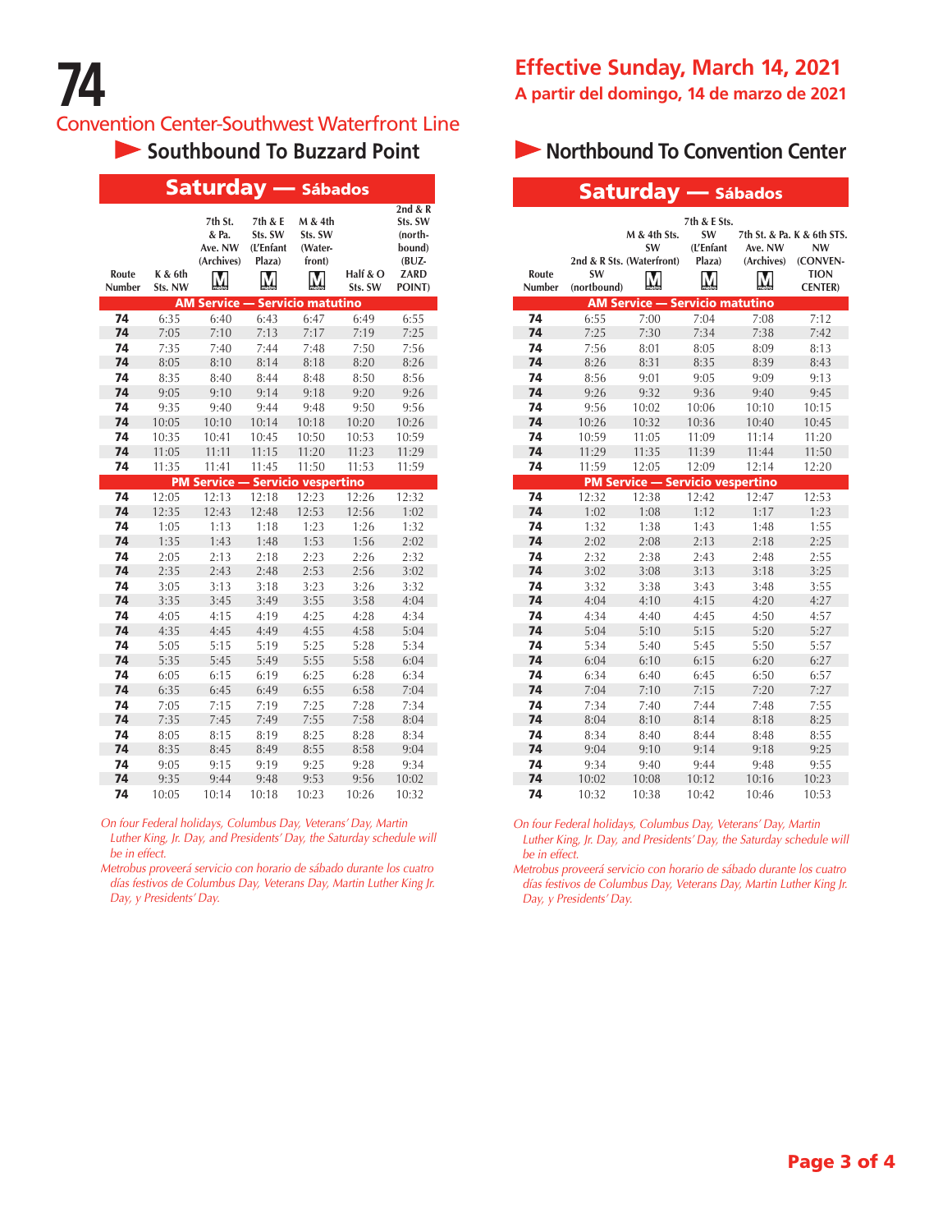### **Convention Center-Southwest Waterfront Line**

| <b>Saturday</b><br>- Sábados |                    |                                           |                                                 |                                              |                     |                                                                       |
|------------------------------|--------------------|-------------------------------------------|-------------------------------------------------|----------------------------------------------|---------------------|-----------------------------------------------------------------------|
| Route<br>Number              | K & 6th<br>Sts. NW | 7th St.<br>& Pa.<br>Ave. NW<br>(Archives) | 7th & E<br>Sts. SW<br>(L'Enfant<br>Plaza)<br>V. | M & 4th<br>Sts. SW<br>(Water-<br>front)<br>M | Half & O<br>Sts. SW | 2nd & R<br>Sts. SW<br>(north-<br>bound)<br>$(BUZ -$<br>ZARD<br>POINT) |
|                              |                    | <b>AM Service</b>                         |                                                 | <b>Servicio matutino</b>                     |                     |                                                                       |
| 74                           | 6:35               | 6:40                                      | 6:43                                            | 6:47                                         | 6:49                | 6:55                                                                  |
| 74                           | 7:05               | 7:10                                      | 7:13                                            | 7:17                                         | 7:19                | 7:25                                                                  |
| 74                           | 7:35               | 7:40                                      | 7:44                                            | 7:48                                         | 7:50                | 7:56                                                                  |
| 74                           | 8:05               | 8:10                                      | 8:14                                            | 8:18                                         | 8:20                | 8:26                                                                  |
| 74<br>74                     | 8:35<br>9:05       | 8:40<br>9:10                              | 8:44<br>9:14                                    | 8:48<br>9:18                                 | 8:50<br>9:20        | 8:56<br>9:26                                                          |
| 74                           | 9:35               | 9:40                                      | 9:44                                            | 9:48                                         | 9:50                | 9:56                                                                  |
| 74                           | 10:05              | 10:10                                     | 10:14                                           | 10:18                                        | 10:20               | 10:26                                                                 |
| 74                           | 10:35              | 10:41                                     | 10:45                                           | 10:50                                        | 10:53               | 10:59                                                                 |
| 74                           | 11:05              | 11:11                                     | 11:15                                           | 11:20                                        | 11:23               | 11:29                                                                 |
| 74                           | 11:35              | 11:41                                     | 11:45                                           | 11:50                                        | 11:53               | 11:59                                                                 |
|                              |                    | <b>PM Service</b>                         |                                                 | <b>Servicio vespertino</b>                   |                     |                                                                       |
| 74                           | 12:05              | 12:13                                     | 12:18                                           | 12:23                                        | 12:26               | 12:32                                                                 |
| 74                           | 12:35              | 12:43                                     | 12:48                                           | 12:53                                        | 12:56               | 1:02                                                                  |
| 74                           | 1:05               | 1:13                                      | 1:18                                            | 1:23                                         | 1:26                | 1:32                                                                  |
| 74                           | 1:35               | 1:43                                      | 1:48                                            | 1:53                                         | 1:56                | 2:02                                                                  |
| 74                           | 2:05               | 2:13                                      | 2:18                                            | 2:23                                         | 2:26                | 2:32                                                                  |
| 74                           | 2:35               | 2:43                                      | 2:48                                            | 2:53                                         | 2:56                | 3:02                                                                  |
| 74                           | 3:05               | 3:13                                      | 3:18                                            | 3:23                                         | 3:26                | 3:32                                                                  |
| 74                           | 3:35               | 3:45                                      | 3:49                                            | 3:55                                         | 3:58                | 4:04                                                                  |
| 74                           | 4:05               | 4:15                                      | 4:19                                            | 4:25                                         | 4:28                | 4:34                                                                  |
| 74                           | 4:35               | 4:45                                      | 4:49                                            | 4:55                                         | 4:58                | 5:04                                                                  |
| 74                           | 5:05               | 5:15                                      | 5:19                                            | 5:25                                         | 5:28                | 5:34                                                                  |
| 74                           | 5:35               | 5:45                                      | 5:49                                            | 5:55                                         | 5:58                | 6:04                                                                  |
| 74                           | 6:05               | 6:15                                      | 6:19                                            | 6:25                                         | 6:28                | 6:34                                                                  |
| 74                           | 6:35               | 6:45                                      | 6:49                                            | 6:55                                         | 6:58                | 7:04                                                                  |
| 74                           | 7:05               | 7:15                                      | 7:19                                            | 7:25                                         | 7:28                | 7:34                                                                  |
| 74                           | 7:35               | 7:45                                      | 7:49                                            | 7:55                                         | 7:58                | 8:04                                                                  |
| 74                           | 8:05               | 8:15                                      | 8:19                                            | 8:25                                         | 8:28                | 8:34                                                                  |
| 74                           | 8:35               | 8:45                                      | 8:49                                            | 8:55                                         | 8:58                | 9:04                                                                  |
| 74                           | 9:05               | 9:15                                      | 9:19                                            | 9:25                                         | 9:28                | 9:34                                                                  |
| 74                           | 9:35               | 9:44                                      | 9:48                                            | 9:53                                         | 9:56                | 10:02                                                                 |
| 74                           | 10:05              | 10:14                                     | 10:18                                           | 10:23                                        | 10:26               | 10:32                                                                 |

*On four Federal holidays, Columbus Day, Veterans' Day, Martin Luther King, Jr. Day, and Presidents' Day, the Saturday schedule will be in effect.*

*Metrobus proveerá servicio con horario de sábado durante los cuatro días festivos de Columbus Day, Veterans Day, Martin Luther King Jr. Day, y Presidents' Day.*

### **Southbound To Buzzard Point Northbound To Convention Center**

|                 |                          | <b>Saturday — Sábados</b>                              |                                                  |                       |                                                                                |
|-----------------|--------------------------|--------------------------------------------------------|--------------------------------------------------|-----------------------|--------------------------------------------------------------------------------|
| Route<br>Number | <b>SW</b><br>(nortbound) | M & 4th Sts.<br><b>SW</b><br>2nd & R Sts. (Waterfront) | 7th & E Sts.<br><b>SW</b><br>(L'Enfant<br>Plaza) | Ave. NW<br>(Archives) | 7th St. & Pa. K & 6th STS.<br>NW<br>(CONVEN-<br><b>TION</b><br><b>CENTER</b> ) |
|                 |                          | <b>AM Service - Servicio matutino</b>                  |                                                  |                       |                                                                                |
| 74              | 6:55                     | 7:00                                                   | 7:04                                             | 7:08                  | 7:12                                                                           |
| 74              | 7:25                     | 7:30                                                   | 7:34                                             | 7:38                  | 7:42                                                                           |
| 74              | 7:56                     | 8:01                                                   | 8:05                                             | 8:09                  | 8:13                                                                           |
| 74              | 8:26                     | 8:31                                                   | 8:35                                             | 8:39                  | 8:43                                                                           |
| 74              | 8:56                     | 9:01                                                   | 9:05                                             | 9:09                  | 9:13                                                                           |
| 74              | 9:26                     | 9:32                                                   | 9:36                                             | 9:40                  | 9:45                                                                           |
| 74              | 9:56                     | 10:02                                                  | 10:06                                            | 10:10                 | 10:15                                                                          |
| 74              | 10:26                    | 10:32                                                  | 10:36                                            | 10:40                 | 10:45                                                                          |
| 74              | 10:59                    | 11:05                                                  | 11:09                                            | 11:14                 | 11:20                                                                          |
| 74              | 11:29                    | 11:35                                                  | 11:39                                            | 11:44                 | 11:50                                                                          |
| 74              | 11:59                    | 12:05                                                  | 12:09                                            | 12:14                 | 12:20                                                                          |
|                 |                          | <b>PM Service - Servicio vespertino</b>                |                                                  |                       |                                                                                |
| 74              | 12:32                    | 12:38                                                  | 12:42                                            | 12:47                 | 12:53                                                                          |
| 74              | 1:02                     | 1:08                                                   | 1:12                                             | 1:17                  | 1:23                                                                           |
| 74              | 1:32                     | 1:38                                                   | 1:43                                             | 1:48                  | 1:55                                                                           |
| 74              | 2:02                     | 2:08                                                   | 2:13                                             | 2:18                  | 2:25                                                                           |
| 74              | 2:32                     | 2:38                                                   | 2:43                                             | 2:48                  | 2:55                                                                           |
| 74              | 3:02                     | 3:08                                                   | 3:13                                             | 3:18                  | 3:25                                                                           |
| 74              | 3:32                     | 3:38                                                   | 3:43                                             | 3:48                  | 3:55                                                                           |
| 74              | 4:04                     | 4:10                                                   | 4:15                                             | 4:20                  | 4:27                                                                           |
| 74              | 4:34                     | 4:40                                                   | 4:45                                             | 4:50                  | 4:57                                                                           |
| 74              | 5:04                     | 5:10                                                   | 5:15                                             | 5:20                  | 5:27                                                                           |
| 74              | 5:34                     | 5:40                                                   | 5:45                                             | 5:50                  | 5:57                                                                           |
| 74              | 6:04                     | 6:10                                                   | 6:15                                             | 6:20                  | 6:27                                                                           |
| 74              | 6:34                     | 6:40                                                   | 6:45                                             | 6:50                  | 6:57                                                                           |
| 74              | 7:04                     | 7:10                                                   | 7:15                                             | 7:20                  | 7:27                                                                           |
| 74              | 7:34                     | 7:40                                                   | 7:44                                             | 7:48                  | 7:55                                                                           |
| 74              | 8:04                     | 8:10                                                   | 8:14                                             | 8:18                  | 8:25                                                                           |
| 74              | 8:34                     | 8:40                                                   | 8:44                                             | 8:48                  | 8:55                                                                           |
| 74              | 9:04                     | 9:10                                                   | 9:14                                             | 9:18                  | 9:25                                                                           |
| 74              | 9:34                     | 9:40                                                   | 9:44                                             | 9:48                  | 9:55                                                                           |
| 74              | 10:02                    | 10:08                                                  | 10:12                                            | 10:16                 | 10:23                                                                          |
| 74              | 10:32                    | 10:38                                                  | 10:42                                            | 10:46                 | 10:53                                                                          |

*On four Federal holidays, Columbus Day, Veterans' Day, Martin Luther King, Jr. Day, and Presidents' Day, the Saturday schedule will be in effect.*

*Metrobus proveerá servicio con horario de sábado durante los cuatro días festivos de Columbus Day, Veterans Day, Martin Luther King Jr. Day, y Presidents' Day.*